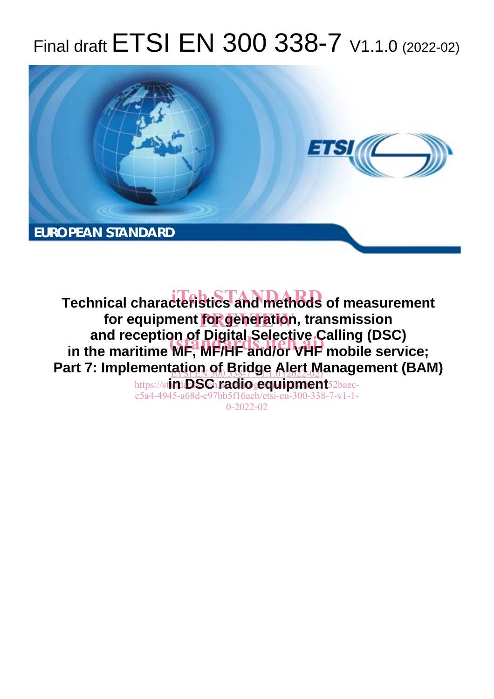# Final draft ETSI EN 300 338-7 V1.1.0 (2022-02)



**Technical characteristics and methods of measurement** for equipment **for generatio**n, transmission **and reception of Digital Selective Calling (DSC)**  and reception of Digital Selective Calling (DSC)<br>in the maritime MF, MF/HF and/or VHF mobile service; Part 7: Implement<u>ation of Bridge Alert M</u>anagement (BAM) https://stinda**DSG.radiogequipment**52baec-

c5a4-4945-a68d-c97bb5f16acb/etsi-en-300-338-7-v1-1- 0-2022-02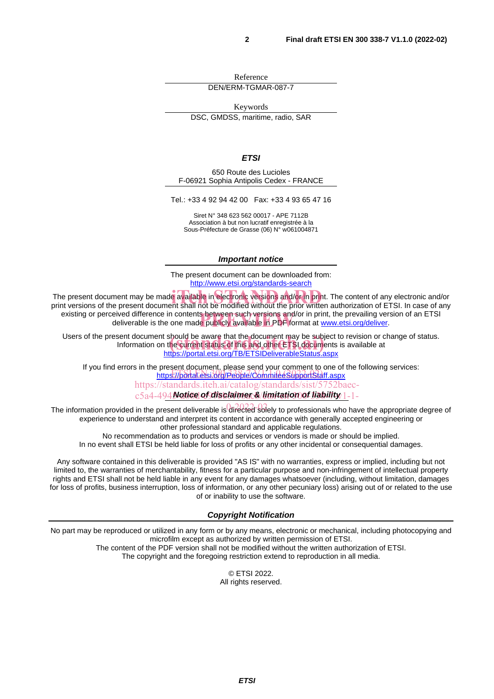Reference DEN/ERM-TGMAR-087-7

Keywords DSC, GMDSS, maritime, radio, SAR

*ETSI* 

650 Route des Lucioles F-06921 Sophia Antipolis Cedex - FRANCE

Tel.: +33 4 92 94 42 00 Fax: +33 4 93 65 47 16

Siret N° 348 623 562 00017 - APE 7112B Association à but non lucratif enregistrée à la Sous-Préfecture de Grasse (06) N° w061004871

#### *Important notice*

The present document can be downloaded from: http://www.etsi.org/standards-search

The present document may be made available in electronic versions and/or in print. The content of any electronic and/or<br>Drint versions of the present document shall not be modified without the prior written authorization o print versions of the present document shall not be modified without the prior written authorization of ETSI. In case of any existing or perceived difference in contents between such versions and/or in print, the prevailing version of an ETSI eived difference in contents between such versions and/or in print, the prevailing vers<br>deliverable is the one made publicly available in PDF format at <u>www.etsi.org/deliver</u>.

Users of the present document should be aware that the document may be subject to revision or change of status. Information on the current status of this and other ETSI documents is available at : should be aware that the document may be subject<br>ι the current status of this and other ETSI documents<br><u>https://portal.etsi.org/TB/ETSIDeliverableStatus.aspx</u>

If you find errors in the present document, please send your comment to one of the following services: https://portal.etsi.org/People/CommiteeSupportStaff.aspx

https://standards.iteh.ai/catalog/standards/sist/5752baec-

c5a4-494**Notice of disclaimer & limitation of liability** 1-1-

The information provided in the present deliverable is directed solely to professionals who have the appropriate degree of experience to understand and interpret its content in accordance with generally accepted engineering or other professional standard and applicable regulations.

No recommendation as to products and services or vendors is made or should be implied.

In no event shall ETSI be held liable for loss of profits or any other incidental or consequential damages.

Any software contained in this deliverable is provided "AS IS" with no warranties, express or implied, including but not limited to, the warranties of merchantability, fitness for a particular purpose and non-infringement of intellectual property rights and ETSI shall not be held liable in any event for any damages whatsoever (including, without limitation, damages for loss of profits, business interruption, loss of information, or any other pecuniary loss) arising out of or related to the use of or inability to use the software.

#### *Copyright Notification*

No part may be reproduced or utilized in any form or by any means, electronic or mechanical, including photocopying and microfilm except as authorized by written permission of ETSI. The content of the PDF version shall not be modified without the written authorization of ETSI.

The copyright and the foregoing restriction extend to reproduction in all media.

© ETSI 2022. All rights reserved.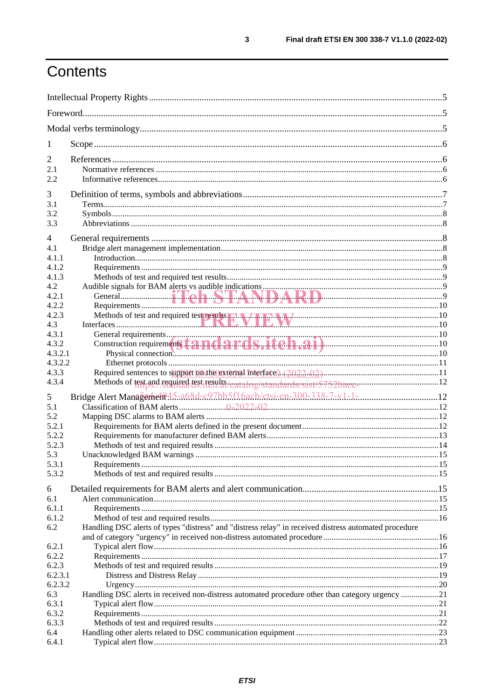# Contents

| 1                  |                                                                                                                                                                                                                                |  |  |
|--------------------|--------------------------------------------------------------------------------------------------------------------------------------------------------------------------------------------------------------------------------|--|--|
| $\overline{2}$     |                                                                                                                                                                                                                                |  |  |
| 2.1                |                                                                                                                                                                                                                                |  |  |
| 2.2                |                                                                                                                                                                                                                                |  |  |
| 3                  |                                                                                                                                                                                                                                |  |  |
| 3.1                |                                                                                                                                                                                                                                |  |  |
| 3.2                |                                                                                                                                                                                                                                |  |  |
| 3.3                |                                                                                                                                                                                                                                |  |  |
| 4                  |                                                                                                                                                                                                                                |  |  |
| 4.1                |                                                                                                                                                                                                                                |  |  |
| 4.1.1              |                                                                                                                                                                                                                                |  |  |
| 4.1.2              |                                                                                                                                                                                                                                |  |  |
| 4.1.3              |                                                                                                                                                                                                                                |  |  |
| 4.2                |                                                                                                                                                                                                                                |  |  |
| 4.2.1              |                                                                                                                                                                                                                                |  |  |
| 4.2.2              |                                                                                                                                                                                                                                |  |  |
| 4.2.3              |                                                                                                                                                                                                                                |  |  |
| 4.3                | Methods of test and required test results. The Maximum Material of the state of the state of the state of the state of the state of the state of the state of the state of the state of the state of the state of the state of |  |  |
| 4.3.1              |                                                                                                                                                                                                                                |  |  |
| 4.3.2              |                                                                                                                                                                                                                                |  |  |
| 4.3.2.1            |                                                                                                                                                                                                                                |  |  |
| 4.3.2.2            |                                                                                                                                                                                                                                |  |  |
| 4.3.3              |                                                                                                                                                                                                                                |  |  |
| 4.3.4              | Methods of test and required test results/catalog/standards/sist/5752bacc-                                                                                                                                                     |  |  |
| 5                  | Bridge Alert Management 45-a68d-c97bb5f16acb/etsi-en-300-338-7-v1-1-                                                                                                                                                           |  |  |
| 5.1                |                                                                                                                                                                                                                                |  |  |
| 5.2                |                                                                                                                                                                                                                                |  |  |
| 5.2.1              |                                                                                                                                                                                                                                |  |  |
| 5.2.2              |                                                                                                                                                                                                                                |  |  |
| 5.2.3              |                                                                                                                                                                                                                                |  |  |
| 5.3                |                                                                                                                                                                                                                                |  |  |
| 5.3.1              |                                                                                                                                                                                                                                |  |  |
| 5.3.2              |                                                                                                                                                                                                                                |  |  |
| 6                  |                                                                                                                                                                                                                                |  |  |
| 6.1                |                                                                                                                                                                                                                                |  |  |
| 6.1.1              |                                                                                                                                                                                                                                |  |  |
| 6.1.2              |                                                                                                                                                                                                                                |  |  |
| 6.2                | Handling DSC alerts of types "distress" and "distress relay" in received distress automated procedure                                                                                                                          |  |  |
|                    |                                                                                                                                                                                                                                |  |  |
| 6.2.1              |                                                                                                                                                                                                                                |  |  |
| 6.2.2              |                                                                                                                                                                                                                                |  |  |
| 6.2.3              |                                                                                                                                                                                                                                |  |  |
| 6.2.3.1<br>6.2.3.2 |                                                                                                                                                                                                                                |  |  |
| 6.3                | Handling DSC alerts in received non-distress automated procedure other than category urgency 21                                                                                                                                |  |  |
| 6.3.1              |                                                                                                                                                                                                                                |  |  |
| 6.3.2              |                                                                                                                                                                                                                                |  |  |
| 6.3.3              |                                                                                                                                                                                                                                |  |  |
| 6.4                |                                                                                                                                                                                                                                |  |  |
| 6.4.1              |                                                                                                                                                                                                                                |  |  |
|                    |                                                                                                                                                                                                                                |  |  |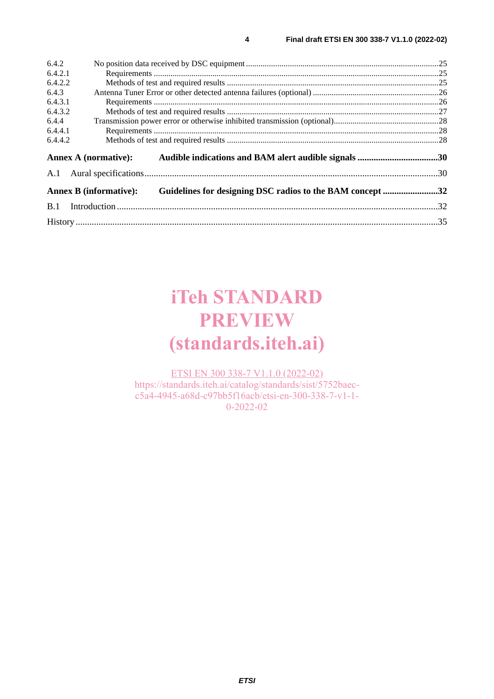| 6.4.2   |                                                                                            |  |
|---------|--------------------------------------------------------------------------------------------|--|
| 6.4.2.1 |                                                                                            |  |
| 6.4.2.2 |                                                                                            |  |
| 6.4.3   |                                                                                            |  |
| 6.4.3.1 |                                                                                            |  |
| 6.4.3.2 |                                                                                            |  |
| 6.4.4   |                                                                                            |  |
| 6.4.4.1 |                                                                                            |  |
| 6.4.4.2 |                                                                                            |  |
|         |                                                                                            |  |
|         | <b>Annex A (normative):</b><br>Audible indications and BAM alert audible signals 30        |  |
| A.1     |                                                                                            |  |
|         | Guidelines for designing DSC radios to the BAM concept 32<br><b>Annex B</b> (informative): |  |
| B.1     |                                                                                            |  |

# **iTeh STANDARD PREVIEW (standards.iteh.ai)**

ETSI EN 300 338-7 V1.1.0 (2022-02) https://standards.iteh.ai/catalog/standards/sist/5752baecc5a4-4945-a68d-c97bb5f16acb/etsi-en-300-338-7-v1-1- 0-2022-02

*ETSI*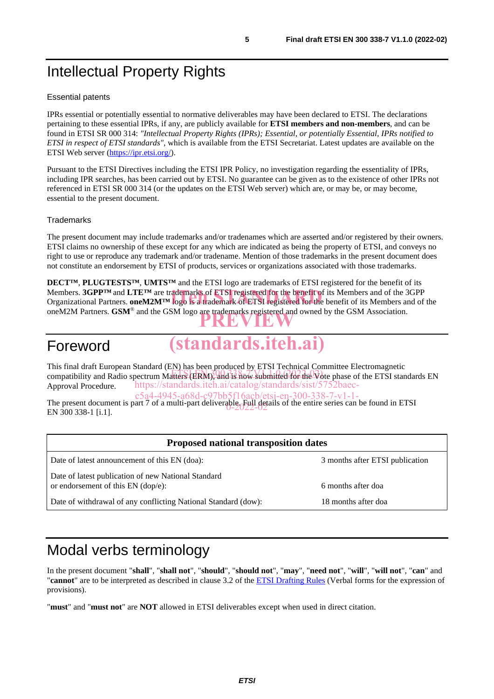# Intellectual Property Rights

#### Essential patents

IPRs essential or potentially essential to normative deliverables may have been declared to ETSI. The declarations pertaining to these essential IPRs, if any, are publicly available for **ETSI members and non-members**, and can be found in ETSI SR 000 314: *"Intellectual Property Rights (IPRs); Essential, or potentially Essential, IPRs notified to ETSI in respect of ETSI standards"*, which is available from the ETSI Secretariat. Latest updates are available on the ETSI Web server (https://ipr.etsi.org/).

Pursuant to the ETSI Directives including the ETSI IPR Policy, no investigation regarding the essentiality of IPRs, including IPR searches, has been carried out by ETSI. No guarantee can be given as to the existence of other IPRs not referenced in ETSI SR 000 314 (or the updates on the ETSI Web server) which are, or may be, or may become, essential to the present document.

#### **Trademarks**

The present document may include trademarks and/or tradenames which are asserted and/or registered by their owners. ETSI claims no ownership of these except for any which are indicated as being the property of ETSI, and conveys no right to use or reproduce any trademark and/or tradename. Mention of those trademarks in the present document does not constitute an endorsement by ETSI of products, services or organizations associated with those trademarks.

**DECT™**, **PLUGTESTS™**, **UMTS™** and the ETSI logo are trademarks of ETSI registered for the benefit of its Members. **3GPP™** and **LTE™** are trademarks of ETSI registered for the benefit of its Members and of the 3GPP Members. **3GPP<sup>TM</sup>** and LTE<sup>TM</sup> are trademarks of ETSI registered for the benefit of its Members and of the 3GPP<br>Organizational Partners. oneM2M<sup>TM</sup> logo is a trademark of ETSI registered for the benefit of its Members and oneM2M Partners. **GSM**<sup>®</sup> and the GSM logo are trademarks registered and owned by the GSM Association.

## Foreword



This final draft European Standard (EN) has been produced by ETSI Technical Committee Electromagnetic compatibility and Radio spectrum Matters (ERM), and is now submitted for the Vote phase of the ETSI standards EN Approval Procedure. https://standards.iteh.ai/catalog/standards/sist/57

The present document is part 7 of a multi-part deliverable. Full details of the entire series can be found in ETSI<br>EN 200.222.1 E 11 EN 300 338-1 [i.1]. c5a4-4945-a68d-c97bb5f16acb/etsi-en-300-338-7-v1-1-

| <b>Proposed national transposition dates</b>                                                |                                 |  |  |
|---------------------------------------------------------------------------------------------|---------------------------------|--|--|
| Date of latest announcement of this EN (doa):                                               | 3 months after ETSI publication |  |  |
| Date of latest publication of new National Standard<br>or endorsement of this $EN$ (dop/e): | 6 months after doa              |  |  |
| Date of withdrawal of any conflicting National Standard (dow):                              | 18 months after doa             |  |  |

# Modal verbs terminology

In the present document "**shall**", "**shall not**", "**should**", "**should not**", "**may**", "**need not**", "**will**", "**will not**", "**can**" and "**cannot**" are to be interpreted as described in clause 3.2 of the ETSI Drafting Rules (Verbal forms for the expression of provisions).

"**must**" and "**must not**" are **NOT** allowed in ETSI deliverables except when used in direct citation.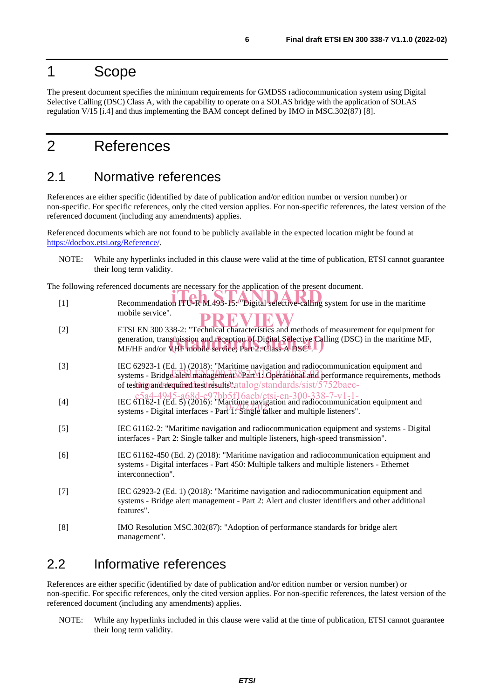## 1 Scope

The present document specifies the minimum requirements for GMDSS radiocommunication system using Digital Selective Calling (DSC) Class A, with the capability to operate on a SOLAS bridge with the application of SOLAS regulation V/15 [i.4] and thus implementing the BAM concept defined by IMO in MSC.302(87) [8].

# 2 References

### 2.1 Normative references

References are either specific (identified by date of publication and/or edition number or version number) or non-specific. For specific references, only the cited version applies. For non-specific references, the latest version of the referenced document (including any amendments) applies.

Referenced documents which are not found to be publicly available in the expected location might be found at https://docbox.etsi.org/Reference/.

NOTE: While any hyperlinks included in this clause were valid at the time of publication, ETSI cannot guarantee their long term validity.

| The following referenced documents are necessary for the application of the present document. |                                                                                                                                                                                        |  |  |
|-----------------------------------------------------------------------------------------------|----------------------------------------------------------------------------------------------------------------------------------------------------------------------------------------|--|--|
| $[1]$                                                                                         | Recommendation ITU-R M.493-15: "Digital selective-calling system for use in the maritime                                                                                               |  |  |
|                                                                                               | mobile service".                                                                                                                                                                       |  |  |
| $[2]$                                                                                         | ETSI EN 300 338-2: "Technical characteristics and methods of measurement for equipment for                                                                                             |  |  |
|                                                                                               | generation, transmission and reception of Digital Selective Calling (DSC) in the maritime MF,<br>MF/HF and/or VHF mobile service; Part 2: Class A DSC L                                |  |  |
| $[3]$                                                                                         | IEC 62923-1 (Ed. 1) (2018): "Maritime navigation and radiocommunication equipment and                                                                                                  |  |  |
|                                                                                               | systems - Bridge alert management $\Delta$ Part 1: Operational and performance requirements, methods<br>of testitig and stequiled test results "catalog/standards/sist/5752baec-       |  |  |
| $[4]$                                                                                         | $c$ 5a4-4945-a68d-c97bb5f16acb/etsi-en-300-338-7-v1-1-<br>IEC 61162-1 (Ed. 5) (2016): "Maritime navigation and radiocommunication equipment and                                        |  |  |
|                                                                                               | systems - Digital interfaces - $Part' \overline{1}$ . Single talker and multiple listeners".                                                                                           |  |  |
| $[5]$                                                                                         | IEC 61162-2: "Maritime navigation and radiocommunication equipment and systems - Digital                                                                                               |  |  |
|                                                                                               | interfaces - Part 2: Single talker and multiple listeners, high-speed transmission".                                                                                                   |  |  |
| [6]                                                                                           | IEC 61162-450 (Ed. 2) (2018): "Maritime navigation and radiocommunication equipment and<br>systems - Digital interfaces - Part 450: Multiple talkers and multiple listeners - Ethernet |  |  |
|                                                                                               | interconnection".                                                                                                                                                                      |  |  |
| $[7]$                                                                                         | IEC 62923-2 (Ed. 1) (2018): "Maritime navigation and radiocommunication equipment and                                                                                                  |  |  |
|                                                                                               | systems - Bridge alert management - Part 2: Alert and cluster identifiers and other additional<br>features".                                                                           |  |  |
| [8]                                                                                           | IMO Resolution MSC.302(87): "Adoption of performance standards for bridge alert                                                                                                        |  |  |
|                                                                                               | management".                                                                                                                                                                           |  |  |

## 2.2 Informative references

References are either specific (identified by date of publication and/or edition number or version number) or non-specific. For specific references, only the cited version applies. For non-specific references, the latest version of the referenced document (including any amendments) applies.

NOTE: While any hyperlinks included in this clause were valid at the time of publication, ETSI cannot guarantee their long term validity.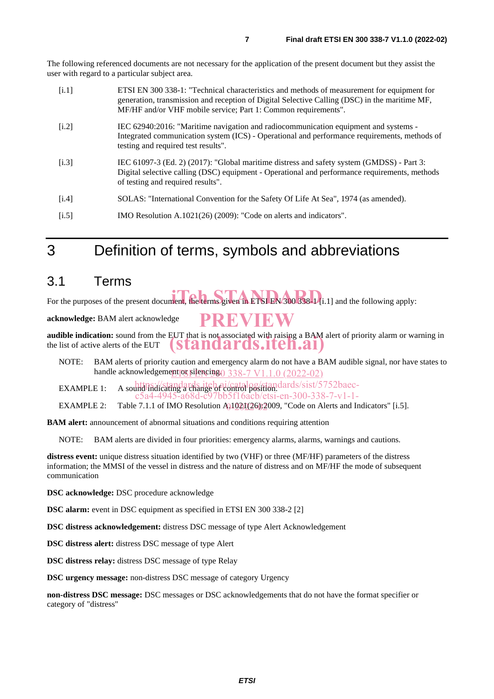The following referenced documents are not necessary for the application of the present document but they assist the user with regard to a particular subject area.

| [i.1] | ETSI EN 300 338-1: "Technical characteristics and methods of measurement for equipment for<br>generation, transmission and reception of Digital Selective Calling (DSC) in the maritime MF,<br>MF/HF and/or VHF mobile service; Part 1: Common requirements". |
|-------|---------------------------------------------------------------------------------------------------------------------------------------------------------------------------------------------------------------------------------------------------------------|
| [i.2] | IEC 62940:2016: "Maritime navigation and radiocommunication equipment and systems -<br>Integrated communication system (ICS) - Operational and performance requirements, methods of<br>testing and required test results".                                    |
| [i.3] | IEC 61097-3 (Ed. 2) (2017): "Global maritime distress and safety system (GMDSS) - Part 3:<br>Digital selective calling (DSC) equipment - Operational and performance requirements, methods<br>of testing and required results".                               |
| [i.4] | SOLAS: "International Convention for the Safety Of Life At Sea", 1974 (as amended).                                                                                                                                                                           |
| [i.5] | IMO Resolution A.1021(26) (2009): "Code on alerts and indicators".                                                                                                                                                                                            |

## 3 Definition of terms, symbols and abbreviations

#### 3.1 Terms

For the purposes of the present document, the terms given in ETSI EN 300 338-1 [i.1] and the following apply:

**acknowledge:** BAM alert acknowledge

**audible indication:** sound from the EUT that is not associated with raising a BAM alert of priority alarm or warning in the list of active alerts of the EUT **PREVIEW (standards.iteh.ai)**

NOTE: BAM alerts of priority caution and emergency alarm do not have a BAM audible signal, nor have states to handle acknowledgement or silencing. 338-7 V1.1.0 (2022-02)

EXAMPLE 1: A sound indicating a change of control position. dards/sist/5752baecc5a4-4945-a68d-c97bb5f16acb/etsi-en-300-338-7-v1-1-

EXAMPLE 2: Table 7.1.1 of IMO Resolution  $A_01021(26)2009$ , "Code on Alerts and Indicators" [i.5].

**BAM alert:** announcement of abnormal situations and conditions requiring attention

NOTE: BAM alerts are divided in four priorities: emergency alarms, alarms, warnings and cautions.

**distress event:** unique distress situation identified by two (VHF) or three (MF/HF) parameters of the distress information; the MMSI of the vessel in distress and the nature of distress and on MF/HF the mode of subsequent communication

**DSC acknowledge:** DSC procedure acknowledge

**DSC alarm:** event in DSC equipment as specified in ETSI EN 300 338-2 [2]

**DSC distress acknowledgement:** distress DSC message of type Alert Acknowledgement

**DSC distress alert:** distress DSC message of type Alert

**DSC distress relay:** distress DSC message of type Relay

**DSC urgency message:** non-distress DSC message of category Urgency

**non-distress DSC message:** DSC messages or DSC acknowledgements that do not have the format specifier or category of "distress"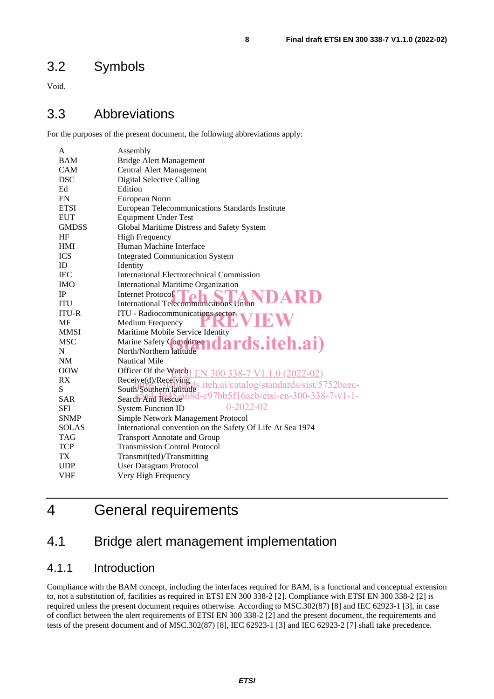## 3.2 Symbols

Void.

## 3.3 Abbreviations

For the purposes of the present document, the following abbreviations apply:

| A            | Assembly                                                            |  |  |
|--------------|---------------------------------------------------------------------|--|--|
| <b>BAM</b>   | <b>Bridge Alert Management</b>                                      |  |  |
| <b>CAM</b>   | <b>Central Alert Management</b>                                     |  |  |
| <b>DSC</b>   | <b>Digital Selective Calling</b>                                    |  |  |
| Ed           | Edition                                                             |  |  |
| EN           | European Norm                                                       |  |  |
| <b>ETSI</b>  | European Telecommunications Standards Institute                     |  |  |
| <b>EUT</b>   | <b>Equipment Under Test</b>                                         |  |  |
| <b>GMDSS</b> | Global Maritime Distress and Safety System                          |  |  |
| HF           | <b>High Frequency</b>                                               |  |  |
| <b>HMI</b>   | Human Machine Interface                                             |  |  |
| <b>ICS</b>   | <b>Integrated Communication System</b>                              |  |  |
| ID           | Identity                                                            |  |  |
| <b>IEC</b>   | <b>International Electrotechnical Commission</b>                    |  |  |
| <b>IMO</b>   | <b>International Maritime Organization</b>                          |  |  |
| IP           | Internet Protocol <sup>7</sup>                                      |  |  |
| <b>ITU</b>   | International Telecommunications Union                              |  |  |
| <b>ITU-R</b> | <b>ITU</b> - Radiocommunications sectors                            |  |  |
| MF           | Medium Frequency                                                    |  |  |
| <b>MMSI</b>  | Maritime Mobile Service Identity                                    |  |  |
| <b>MSC</b>   | Marine Safety Committee<br>dards.iteh.ai)                           |  |  |
| N            | North/Northern latitude                                             |  |  |
| NM           | <b>Nautical Mile</b>                                                |  |  |
| <b>OOW</b>   | Officer Of the Watch<br>300 338-7 V1.1.0 (2022-02)                  |  |  |
| RX           | Receive(d)/Receiving<br>ls.iteh.ai/catalog/standards/sist/5752baec- |  |  |
| S            | South/Southern latitude                                             |  |  |
| <b>SAR</b>   | Search And Rescue 68d-c97bb5f16acb/etsi-en-300-338-7-v1-1-          |  |  |
| <b>SFI</b>   | $0 - 2022 - 02$<br><b>System Function ID</b>                        |  |  |
| <b>SNMP</b>  | Simple Network Management Protocol                                  |  |  |
| <b>SOLAS</b> | International convention on the Safety Of Life At Sea 1974          |  |  |
| TAG          | <b>Transport Annotate and Group</b>                                 |  |  |
| TCP          | <b>Transmission Control Protocol</b>                                |  |  |
| TX           | Transmit(ted)/Transmitting                                          |  |  |
| <b>UDP</b>   | <b>User Datagram Protocol</b>                                       |  |  |
| VHF          | Very High Frequency                                                 |  |  |
|              |                                                                     |  |  |

# 4 General requirements

## 4.1 Bridge alert management implementation

#### 4.1.1 Introduction

Compliance with the BAM concept, including the interfaces required for BAM, is a functional and conceptual extension to, not a substitution of, facilities as required in ETSI EN 300 338-2 [2]. Compliance with ETSI EN 300 338-2 [2] is required unless the present document requires otherwise. According to MSC.302(87) [8] and IEC 62923-1 [3], in case of conflict between the alert requirements of ETSI EN 300 338-2 [2] and the present document, the requirements and tests of the present document and of MSC.302(87) [8], IEC 62923-1 [3] and IEC 62923-2 [7] shall take precedence.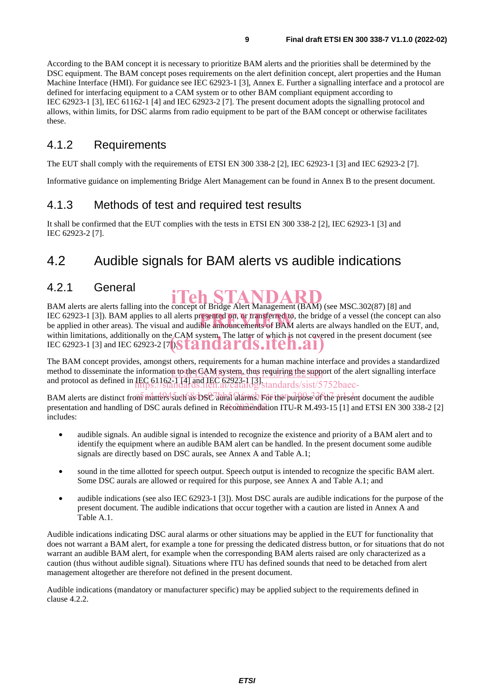According to the BAM concept it is necessary to prioritize BAM alerts and the priorities shall be determined by the DSC equipment. The BAM concept poses requirements on the alert definition concept, alert properties and the Human Machine Interface (HMI). For guidance see IEC 62923-1 [3], Annex E. Further a signalling interface and a protocol are defined for interfacing equipment to a CAM system or to other BAM compliant equipment according to IEC 62923-1 [3], IEC 61162-1 [4] and IEC 62923-2 [7]. The present document adopts the signalling protocol and allows, within limits, for DSC alarms from radio equipment to be part of the BAM concept or otherwise facilitates these.

#### 4.1.2 Requirements

The EUT shall comply with the requirements of ETSI EN 300 338-2 [2], IEC 62923-1 [3] and IEC 62923-2 [7].

Informative guidance on implementing Bridge Alert Management can be found in Annex B to the present document.

#### 4.1.3 Methods of test and required test results

It shall be confirmed that the EUT complies with the tests in ETSI EN 300 338-2 [2], IEC 62923-1 [3] and IEC 62923-2 [7].

## 4.2 Audible signals for BAM alerts vs audible indications

#### 4.2.1 General

**BAM alerts are alerts falling into the concept of Bridge Alert Management (BAM) (see MSC.302(87) [8] and** IEC 62923-1 [3]). BAM applies to all alerts presented on, or transferred to, the bridge of a vessel (the concept can also be applied in other areas). The visual and audible announcements of BAM alerts are always handled on be applied in other areas). The visual and audible announcements of BAM alerts are always handled on the EUT, and, within limitations, additionally on the CAM system. The latter of which is not covered in the present document (see within limitations, additionally on the CAM system. The latter of which is not cover<br>IEC 62923-1 [3] and IEC 62923-2 [7]. **[2] [1] [2] [1] [3] [1] [1] [1] [1]** 

The BAM concept provides, amongst others, requirements for a human machine interface and provides a standardized method to disseminate the information to the CAM system, thus requiring the support of the alert signalling interface and protocol as defined in **IEC 61162-1 [4] and IEC 62923-1 [3]** standards/sist/5752baec-

BAM alerts are distinct from matters such as DSC aurai falams. For the purpose of the present document the audible presentation and handling of DSC aurals defined in Recommendation ITU-R M.493-15 [1] and ETSI EN 300 338-2 [2] includes:

- audible signals. An audible signal is intended to recognize the existence and priority of a BAM alert and to identify the equipment where an audible BAM alert can be handled. In the present document some audible signals are directly based on DSC aurals, see Annex A and Table A.1;
- sound in the time allotted for speech output. Speech output is intended to recognize the specific BAM alert. Some DSC aurals are allowed or required for this purpose, see Annex A and Table A.1; and
- audible indications (see also IEC 62923-1 [3]). Most DSC aurals are audible indications for the purpose of the present document. The audible indications that occur together with a caution are listed in Annex A and Table A.1.

Audible indications indicating DSC aural alarms or other situations may be applied in the EUT for functionality that does not warrant a BAM alert, for example a tone for pressing the dedicated distress button, or for situations that do not warrant an audible BAM alert, for example when the corresponding BAM alerts raised are only characterized as a caution (thus without audible signal). Situations where ITU has defined sounds that need to be detached from alert management altogether are therefore not defined in the present document.

Audible indications (mandatory or manufacturer specific) may be applied subject to the requirements defined in clause 4.2.2.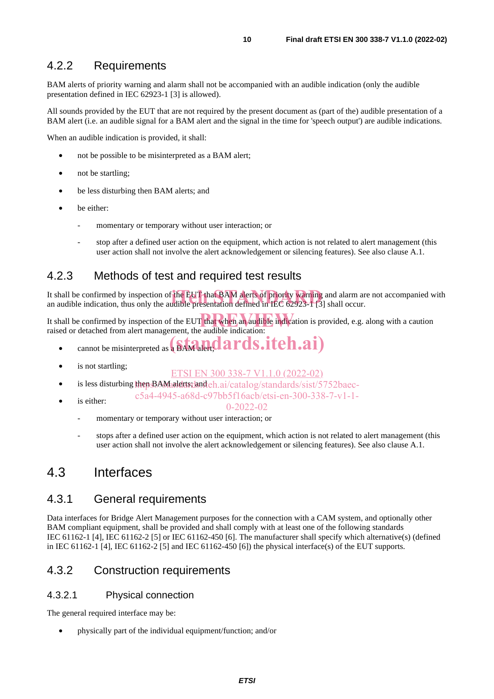#### 4.2.2 Requirements

BAM alerts of priority warning and alarm shall not be accompanied with an audible indication (only the audible presentation defined in IEC 62923-1 [3] is allowed).

All sounds provided by the EUT that are not required by the present document as (part of the) audible presentation of a BAM alert (i.e. an audible signal for a BAM alert and the signal in the time for 'speech output') are audible indications.

When an audible indication is provided, it shall:

- not be possible to be misinterpreted as a BAM alert;
- not be startling;
- be less disturbing then BAM alerts; and
- be either:
	- momentary or temporary without user interaction; or
	- stop after a defined user action on the equipment, which action is not related to alert management (this user action shall not involve the alert acknowledgement or silencing features). See also clause A.1.

#### 4.2.3 Methods of test and required test results

It shall be confirmed by inspection of the EUT that BAM alerts of priority warning and alarm are not accompanied with<br>an audible indication, thus only the audible presentation defined in IEC 62923-1 [3] shall occur. an audible indication, thus only the audible presentation defined in IEC  $62923-173$ ] shall occur.

It shall be confirmed by inspection of the EUT that when an audible indication is provided, e.g. along with a caution raised or detached from alert management, the audible indication:

- **example in the misinterpreted as a BAM alert, dards.itch.ai**)
- is not startling;
	- ETSI EN 300 338-7 V1.1.0 (2022-02)
- is less disturbing then BAM alerts dand ch.ai/catalog/standards/sist/5752baec
	- is either: c5a4-4945-a68d-c97bb5f16acb/etsi-en-300-338-7-v1-1-
		- 0-2022-02
		- momentary or temporary without user interaction; or
		- stops after a defined user action on the equipment, which action is not related to alert management (this user action shall not involve the alert acknowledgement or silencing features). See also clause A.1.

#### 4.3 Interfaces

#### 4.3.1 General requirements

Data interfaces for Bridge Alert Management purposes for the connection with a CAM system, and optionally other BAM compliant equipment, shall be provided and shall comply with at least one of the following standards IEC 61162-1 [4], IEC 61162-2 [5] or IEC 61162-450 [6]. The manufacturer shall specify which alternative(s) (defined in IEC 61162-1 [4], IEC 61162-2 [5] and IEC 61162-450 [6]) the physical interface(s) of the EUT supports.

#### 4.3.2 Construction requirements

#### 4.3.2.1 Physical connection

The general required interface may be:

• physically part of the individual equipment/function; and/or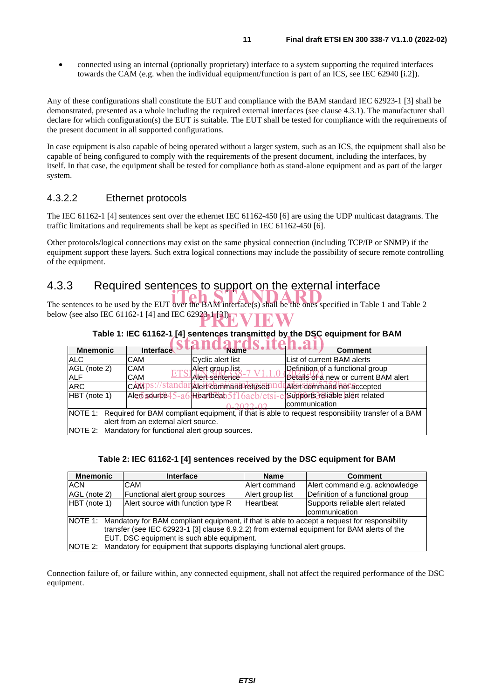• connected using an internal (optionally proprietary) interface to a system supporting the required interfaces towards the CAM (e.g. when the individual equipment/function is part of an ICS, see IEC 62940 [i.2]).

Any of these configurations shall constitute the EUT and compliance with the BAM standard IEC 62923-1 [3] shall be demonstrated, presented as a whole including the required external interfaces (see clause 4.3.1). The manufacturer shall declare for which configuration(s) the EUT is suitable. The EUT shall be tested for compliance with the requirements of the present document in all supported configurations.

In case equipment is also capable of being operated without a larger system, such as an ICS, the equipment shall also be capable of being configured to comply with the requirements of the present document, including the interfaces, by itself. In that case, the equipment shall be tested for compliance both as stand-alone equipment and as part of the larger system.

#### 4.3.2.2 Ethernet protocols

The IEC 61162-1 [4] sentences sent over the ethernet IEC 61162-450 [6] are using the UDP multicast datagrams. The traffic limitations and requirements shall be kept as specified in IEC 61162-450 [6].

Other protocols/logical connections may exist on the same physical connection (including TCP/IP or SNMP) if the equipment support these layers. Such extra logical connections may include the possibility of secure remote controlling of the equipment.

### 4.3.3 Required sentences to support on the external interface

The sentences to be used by the EUT over the BAM interface(s) shall be the ones specified in Table 1 and Table 2 below (see also IEC 61162-1 [4] and IEC 62923-1 [3]). **PREVIEW**

| Table 1. IEC 01102-1 J4] Sentences transmitted by the DSC equipment for DAM.                              |                  |                        |                                                                               |  |
|-----------------------------------------------------------------------------------------------------------|------------------|------------------------|-------------------------------------------------------------------------------|--|
|                                                                                                           |                  |                        |                                                                               |  |
| <b>Mnemonic</b>                                                                                           | <b>Interface</b> | <b>Name</b>            | <b>Comment</b>                                                                |  |
| <b>ALC</b>                                                                                                | <b>CAM</b>       | Cyclic alert list      | List of current BAM alerts                                                    |  |
| AGL (note 2)                                                                                              | <b>CAM</b>       | Alert group list,      | Definition of a functional group                                              |  |
| <b>ALF</b>                                                                                                | <b>CAM</b>       | lAlert sentence        | Details of a new or current BAM alert                                         |  |
| <b>ARC</b>                                                                                                | CAM <sub>1</sub> | 1Alett commandhefuseta | Alert command hof accepted                                                    |  |
| HBT (note 1)                                                                                              |                  |                        | Alert squrce 45-a6 Heartbeab 5f1 6acb/etsi-el Supports Heliable alert related |  |
|                                                                                                           |                  |                        | communication                                                                 |  |
| NOTE 1: Required for BAM compliant equipment, if that is able to request responsibility transfer of a BAM |                  |                        |                                                                               |  |
| alert from an external alert source.                                                                      |                  |                        |                                                                               |  |
| NOTE 2: Mandatory for functional alert group sources.                                                     |                  |                        |                                                                               |  |

## **Table 1: IEC 61162-1 [4] sentences transmitted by the DSC equipment for BAM**

#### **Table 2: IEC 61162-1 [4] sentences received by the DSC equipment for BAM**

| <b>Mnemonic</b>                                                                                       | <b>Interface</b>                                                                            | <b>Name</b>      | <b>Comment</b>                   |  |
|-------------------------------------------------------------------------------------------------------|---------------------------------------------------------------------------------------------|------------------|----------------------------------|--|
| <b>ACN</b>                                                                                            | CAM                                                                                         | Alert command    | Alert command e.g. acknowledge   |  |
| AGL (note 2)                                                                                          | Functional alert group sources                                                              | Alert group list | Definition of a functional group |  |
| HBT (note 1)                                                                                          | Alert source with function type R                                                           | Heartbeat        | Supports reliable alert related  |  |
|                                                                                                       |                                                                                             |                  | communication                    |  |
| NOTE 1: Mandatory for BAM compliant equipment, if that is able to accept a request for responsibility |                                                                                             |                  |                                  |  |
|                                                                                                       | transfer (see IEC 62923-1 [3] clause 6.9.2.2) from external equipment for BAM alerts of the |                  |                                  |  |
|                                                                                                       | EUT. DSC equipment is such able equipment.                                                  |                  |                                  |  |
|                                                                                                       | NOTE 2: Mandatory for equipment that supports displaying functional alert groups.           |                  |                                  |  |

Connection failure of, or failure within, any connected equipment, shall not affect the required performance of the DSC equipment.